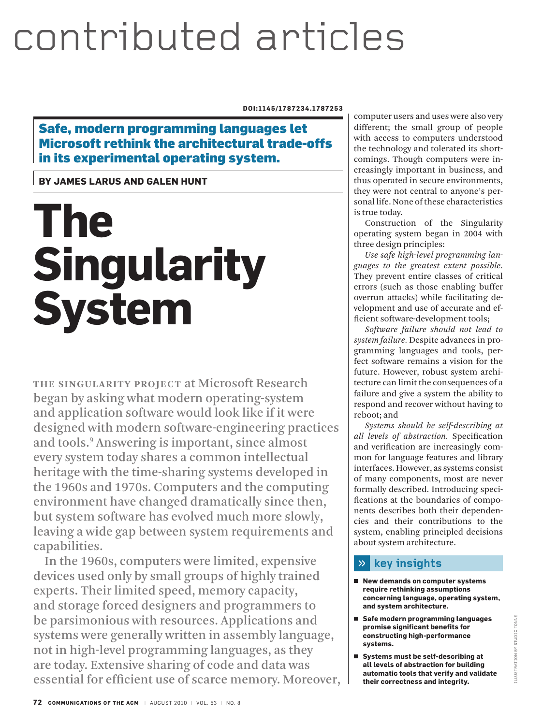# contributed articles

#### **doi:1145/1787234.1787253**

Safe, modern programming languages let Microsoft rethink the architectural trade-offs in its experimental operating system.

## **by James Larus and Galen Hunt**

# **The Singularity System**

**THE SINGULARITY PROJECT at Microsoft Research** began by asking what modern operating-system and application software would look like if it were designed with modern software-engineering practices and tools.9 Answering is important, since almost every system today shares a common intellectual heritage with the time-sharing systems developed in the 1960s and 1970s. Computers and the computing environment have changed dramatically since then, but system software has evolved much more slowly, leaving a wide gap between system requirements and capabilities.

In the 1960s, computers were limited, expensive devices used only by small groups of highly trained experts. Their limited speed, memory capacity, and storage forced designers and programmers to be parsimonious with resources. Applications and systems were generally written in assembly language, not in high-level programming languages, as they are today. Extensive sharing of code and data was essential for efficient use of scarce memory. Moreover, computer users and uses were also very different; the small group of people with access to computers understood the technology and tolerated its shortcomings. Though computers were increasingly important in business, and thus operated in secure environments, they were not central to anyone's personal life. None of these characteristics is true today.

Construction of the Singularity operating system began in 2004 with three design principles:

*Use safe high-level programming languages to the greatest extent possible.* They prevent entire classes of critical errors (such as those enabling buffer overrun attacks) while facilitating development and use of accurate and efficient software-development tools;

*Software failure should not lead to system failure.* Despite advances in programming languages and tools, perfect software remains a vision for the future. However, robust system architecture can limit the consequences of a failure and give a system the ability to respond and recover without having to reboot; and

*Systems should be self-describing at all levels of abstraction.* Specification and verification are increasingly common for language features and library interfaces. However, as systems consist of many components, most are never formally described. Introducing specifications at the boundaries of components describes both their dependencies and their contributions to the system, enabling principled decisions about system architecture.

#### **key insights**  $\gg$

- **New demands on computer systems require rethinking assumptions concerning language, operating system, and system architecture.**
- Safe modern programming languages **promise significant benefits for constructing high-performance systems.**
- Systems must be self-describing at **all levels of abstraction for building automatic tools that verify and validate their correctness and integrity.**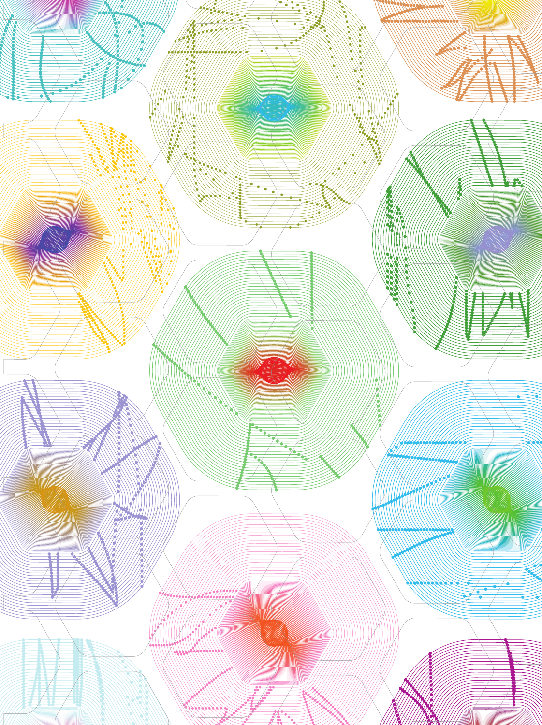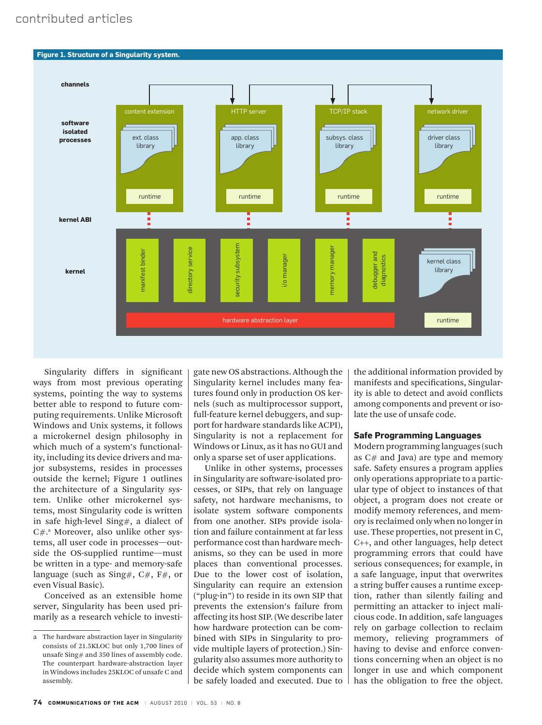

Singularity differs in significant ways from most previous operating systems, pointing the way to systems better able to respond to future computing requirements. Unlike Microsoft Windows and Unix systems, it follows a microkernel design philosophy in which much of a system's functionality, including its device drivers and major subsystems, resides in processes outside the kernel; Figure 1 outlines the architecture of a Singularity system. Unlike other microkernel systems, most Singularity code is written in safe high-level Sing#, a dialect of C#.<sup>a</sup> Moreover, also unlike other systems, all user code in processes—outside the OS-supplied runtime—must be written in a type- and memory-safe language (such as  $Sing#$ ,  $C#$ ,  $F#$ , or even Visual Basic).

Conceived as an extensible home server, Singularity has been used primarily as a research vehicle to investigate new OS abstractions. Although the Singularity kernel includes many features found only in production OS kernels (such as multiprocessor support, full-feature kernel debuggers, and support for hardware standards like ACPI), Singularity is not a replacement for Windows or Linux, as it has no GUI and only a sparse set of user applications.

Unlike in other systems, processes in Singularity are software-isolated processes, or SIPs, that rely on language safety, not hardware mechanisms, to isolate system software components from one another. SIPs provide isolation and failure containment at far less performance cost than hardware mechanisms, so they can be used in more places than conventional processes. Due to the lower cost of isolation, Singularity can require an extension ("plug-in") to reside in its own SIP that prevents the extension's failure from affecting its host SIP. (We describe later how hardware protection can be combined with SIPs in Singularity to provide multiple layers of protection.) Singularity also assumes more authority to decide which system components can be safely loaded and executed. Due to the additional information provided by manifests and specifications, Singularity is able to detect and avoid conflicts among components and prevent or isolate the use of unsafe code.

#### **Safe Programming Languages**

Modern programming languages (such as  $C#$  and Java) are type and memory safe. Safety ensures a program applies only operations appropriate to a particular type of object to instances of that object, a program does not create or modify memory references, and memory is reclaimed only when no longer in use. These properties, not present in C, C++, and other languages, help detect programming errors that could have serious consequences; for example, in a safe language, input that overwrites a string buffer causes a runtime exception, rather than silently failing and permitting an attacker to inject malicious code. In addition, safe languages rely on garbage collection to reclaim memory, relieving programmers of having to devise and enforce conventions concerning when an object is no longer in use and which component has the obligation to free the object.

a The hardware abstraction layer in Singularity consists of 21.5KLOC but only 1,700 lines of unsafe Sing# and 350 lines of assembly code. The counterpart hardware-abstraction layer in Windows includes 25KLOC of unsafe C and assembly.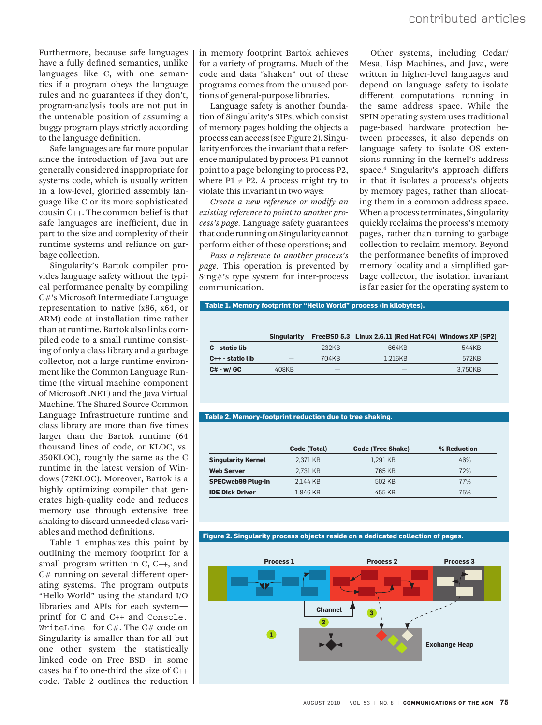Furthermore, because safe languages have a fully defined semantics, unlike languages like C, with one semantics if a program obeys the language rules and no guarantees if they don't, program-analysis tools are not put in the untenable position of assuming a buggy program plays strictly according to the language definition.

Safe languages are far more popular since the introduction of Java but are generally considered inappropriate for systems code, which is usually written in a low-level, glorified assembly language like C or its more sophisticated cousin C++. The common belief is that safe languages are inefficient, due in part to the size and complexity of their runtime systems and reliance on garbage collection.

Singularity's Bartok compiler provides language safety without the typical performance penalty by compiling C#'s Microsoft Intermediate Language representation to native (x86, x64, or ARM) code at installation time rather than at runtime. Bartok also links compiled code to a small runtime consisting of only a class library and a garbage collector, not a large runtime environment like the Common Language Runtime (the virtual machine component of Microsoft .NET) and the Java Virtual Machine. The Shared Source Common Language Infrastructure runtime and class library are more than five times larger than the Bartok runtime (64 thousand lines of code, or KLOC, vs. 350KLOC), roughly the same as the C runtime in the latest version of Windows (72KLOC). Moreover, Bartok is a highly optimizing compiler that generates high-quality code and reduces memory use through extensive tree shaking to discard unneeded class variables and method definitions.

Table 1 emphasizes this point by outlining the memory footprint for a small program written in C, C++, and C# running on several different operating systems. The program outputs "Hello World" using the standard I/O libraries and APIs for each system printf for C and C++ and Console. WriteLine for C#. The C# code on Singularity is smaller than for all but one other system—the statistically linked code on Free BSD—in some cases half to one-third the size of C++ code. Table 2 outlines the reduction

in memory footprint Bartok achieves for a variety of programs. Much of the code and data "shaken" out of these programs comes from the unused portions of general-purpose libraries.

Language safety is another foundation of Singularity's SIPs, which consist of memory pages holding the objects a process can access (see Figure 2). Singularity enforces the invariant that a reference manipulated by process P1 cannot point to a page belonging to process P2, where P1  $\neq$  P2. A process might try to violate this invariant in two ways:

*Create a new reference or modify an existing reference to point to another process's page.* Language safety guarantees that code running on Singularity cannot perform either of these operations; and

*Pass a reference to another process's page.* This operation is prevented by Sing#'s type system for inter-process communication.

Other systems, including Cedar/ Mesa, Lisp Machines, and Java, were written in higher-level languages and depend on language safety to isolate different computations running in the same address space. While the SPIN operating system uses traditional page-based hardware protection between processes, it also depends on language safety to isolate OS extensions running in the kernel's address space.4 Singularity's approach differs in that it isolates a process's objects by memory pages, rather than allocating them in a common address space. When a process terminates, Singularity quickly reclaims the process's memory pages, rather than turning to garbage collection to reclaim memory. Beyond the performance benefits of improved memory locality and a simplified garbage collector, the isolation invariant is far easier for the operating system to

**Table 1. Memory footprint for "Hello World" process (in kilobytes).** 

|                    | <b>Singularity</b> |       | FreeBSD 5.3 Linux 2.6.11 (Red Hat FC4) Windows XP (SP2) |         |
|--------------------|--------------------|-------|---------------------------------------------------------|---------|
| C - static lib     |                    | 232KB | 664KB                                                   | 544KB   |
| $C++$ - static lib |                    | 704KB | 1.216KB                                                 | 572KB   |
| $C# - w / GC$      | 408KB              |       |                                                         | 3.750KB |

#### **Table 2. Memory-footprint reduction due to tree shaking.**

|                           | Code (Total) | <b>Code (Tree Shake)</b> | % Reduction |
|---------------------------|--------------|--------------------------|-------------|
| <b>Singularity Kernel</b> | 2.371 KB     | 1.291 KB                 | 46%         |
| <b>Web Server</b>         | 2.731 KB     | 765 KB                   | 72%         |
| <b>SPECweb99 Plug-in</b>  | 2.144 KB     | 502 KB                   | 77%         |
| <b>IDE Disk Driver</b>    | 1.846 KB     | 455 KB                   | 75%         |

**Figure 2. Singularity process objects reside on a dedicated collection of pages.** 

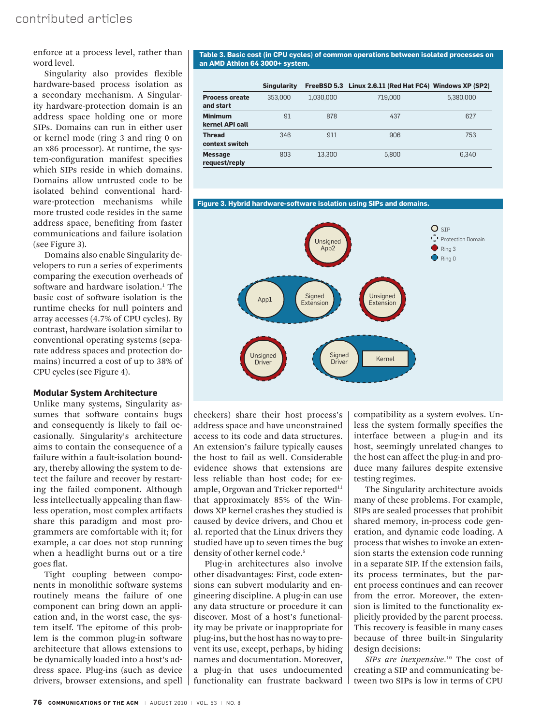enforce at a process level, rather than word level.

Singularity also provides flexible hardware-based process isolation as a secondary mechanism. A Singularity hardware-protection domain is an address space holding one or more SIPs. Domains can run in either user or kernel mode (ring 3 and ring 0 on an x86 processor). At runtime, the system-configuration manifest specifies which SIPs reside in which domains. Domains allow untrusted code to be isolated behind conventional hardware-protection mechanisms while more trusted code resides in the same address space, benefiting from faster communications and failure isolation (see Figure 3).

Domains also enable Singularity developers to run a series of experiments comparing the execution overheads of software and hardware isolation.<sup>1</sup> The basic cost of software isolation is the runtime checks for null pointers and array accesses (4.7% of CPU cycles). By contrast, hardware isolation similar to conventional operating systems (separate address spaces and protection domains) incurred a cost of up to 38% of CPU cycles (see Figure 4).

#### **Modular System Architecture**

Unlike many systems, Singularity assumes that software contains bugs and consequently is likely to fail occasionally. Singularity's architecture aims to contain the consequence of a failure within a fault-isolation boundary, thereby allowing the system to detect the failure and recover by restarting the failed component. Although less intellectually appealing than flawless operation, most complex artifacts share this paradigm and most programmers are comfortable with it; for example, a car does not stop running when a headlight burns out or a tire goes flat.

Tight coupling between components in monolithic software systems routinely means the failure of one component can bring down an application and, in the worst case, the system itself. The epitome of this problem is the common plug-in software architecture that allows extensions to be dynamically loaded into a host's address space. Plug-ins (such as device drivers, browser extensions, and spell

#### **Table 3. Basic cost (in CPU cycles) of common operations between isolated processes on an AMD Athlon 64 3000+ system.**

|                                    | <b>Singularity</b> |           | FreeBSD 5.3 Linux 2.6.11 (Red Hat FC4) Windows XP (SP2) |           |
|------------------------------------|--------------------|-----------|---------------------------------------------------------|-----------|
| <b>Process create</b><br>and start | 353,000            | 1.030.000 | 719,000                                                 | 5.380.000 |
| <b>Minimum</b><br>kernel API call  | 91                 | 878       | 437                                                     | 627       |
| <b>Thread</b><br>context switch    | 346                | 911       | 906                                                     | 753       |
| <b>Message</b><br>request/reply    | 803                | 13.300    | 5.800                                                   | 6.340     |



checkers) share their host process's address space and have unconstrained access to its code and data structures. An extension's failure typically causes the host to fail as well. Considerable evidence shows that extensions are less reliable than host code; for example, Orgovan and Tricker reported<sup>11</sup> that approximately 85% of the Windows XP kernel crashes they studied is caused by device drivers, and Chou et al. reported that the Linux drivers they studied have up to seven times the bug density of other kernel code.<sup>5</sup>

Plug-in architectures also involve other disadvantages: First, code extensions can subvert modularity and engineering discipline. A plug-in can use any data structure or procedure it can discover. Most of a host's functionality may be private or inappropriate for plug-ins, but the host has no way to prevent its use, except, perhaps, by hiding names and documentation. Moreover, a plug-in that uses undocumented functionality can frustrate backward compatibility as a system evolves. Unless the system formally specifies the interface between a plug-in and its host, seemingly unrelated changes to the host can affect the plug-in and produce many failures despite extensive testing regimes.

The Singularity architecture avoids many of these problems. For example, SIPs are sealed processes that prohibit shared memory, in-process code generation, and dynamic code loading. A process that wishes to invoke an extension starts the extension code running in a separate SIP. If the extension fails, its process terminates, but the parent process continues and can recover from the error. Moreover, the extension is limited to the functionality explicitly provided by the parent process. This recovery is feasible in many cases because of three built-in Singularity design decisions:

*SIPs are inexpensive.*10 The cost of creating a SIP and communicating between two SIPs is low in terms of CPU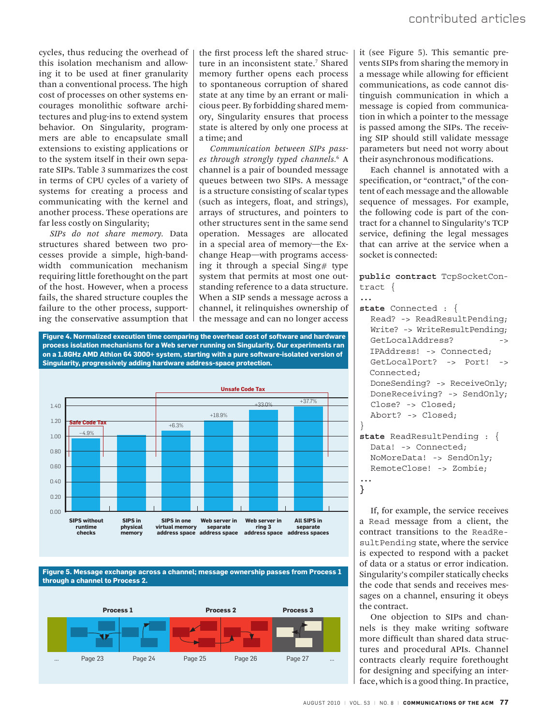cycles, thus reducing the overhead of this isolation mechanism and allowing it to be used at finer granularity than a conventional process. The high cost of processes on other systems encourages monolithic software architectures and plug-ins to extend system behavior. On Singularity, programmers are able to encapsulate small extensions to existing applications or to the system itself in their own separate SIPs. Table 3 summarizes the cost in terms of CPU cycles of a variety of systems for creating a process and communicating with the kernel and another process. These operations are far less costly on Singularity;

*SIPs do not share memory.* Data structures shared between two processes provide a simple, high-bandwidth communication mechanism requiring little forethought on the part of the host. However, when a process fails, the shared structure couples the failure to the other process, supporting the conservative assumption that the first process left the shared structure in an inconsistent state.<sup>7</sup> Shared memory further opens each process to spontaneous corruption of shared state at any time by an errant or malicious peer. By forbidding shared memory, Singularity ensures that process state is altered by only one process at a time; and

*Communication between SIPs passes through strongly typed channels.*<sup>6</sup> A channel is a pair of bounded message queues between two SIPs. A message is a structure consisting of scalar types (such as integers, float, and strings), arrays of structures, and pointers to other structures sent in the same send operation. Messages are allocated in a special area of memory—the Exchange Heap—with programs accessing it through a special  $\text{Sing}_{\#}$  type system that permits at most one outstanding reference to a data structure. When a SIP sends a message across a channel, it relinquishes ownership of the message and can no longer access

**Figure 4. Normalized execution time comparing the overhead cost of software and hardware process isolation mechanisms for a Web server running on Singularity. Our experiments ran on a 1.8GHz AMD Athlon 64 3000+ system, starting with a pure software-isolated version of Singularity, progressively adding hardware address-space protection.** 



**Figure 5. Message exchange across a channel; message ownership passes from Process 1 through a channel to Process 2.** 



it (see Figure 5). This semantic prevents SIPs from sharing the memory in a message while allowing for efficient communications, as code cannot distinguish communication in which a message is copied from communication in which a pointer to the message is passed among the SIPs. The receiving SIP should still validate message parameters but need not worry about their asynchronous modifications.

Each channel is annotated with a specification, or "contract," of the content of each message and the allowable sequence of messages. For example, the following code is part of the contract for a channel to Singularity's TCP service, defining the legal messages that can arrive at the service when a socket is connected:

**public contract** TcpSocketContract {

**...** 

```
state Connected : {
  Read? -> ReadResultPending;
  Write? -> WriteResultPending;
  GetLocalAddress? ->
  IPAddress! -> Connected;
  GetLocalPort? -> Port! ->
  Connected;
  DoneSending? -> ReceiveOnly;
  DoneReceiving? -> SendOnly;
  Close? -> Closed;
  Abort? -> Closed;
}
state ReadResultPending : {
  Data! -> Connected;
  NoMoreData! -> SendOnly;
  RemoteClose! -> Zombie;
...
}
```
If, for example, the service receives a Read message from a client, the contract transitions to the ReadResultPending state, where the service is expected to respond with a packet of data or a status or error indication. Singularity's compiler statically checks the code that sends and receives messages on a channel, ensuring it obeys the contract.

One objection to SIPs and channels is they make writing software more difficult than shared data structures and procedural APIs. Channel contracts clearly require forethought for designing and specifying an interface, which is a good thing. In practice,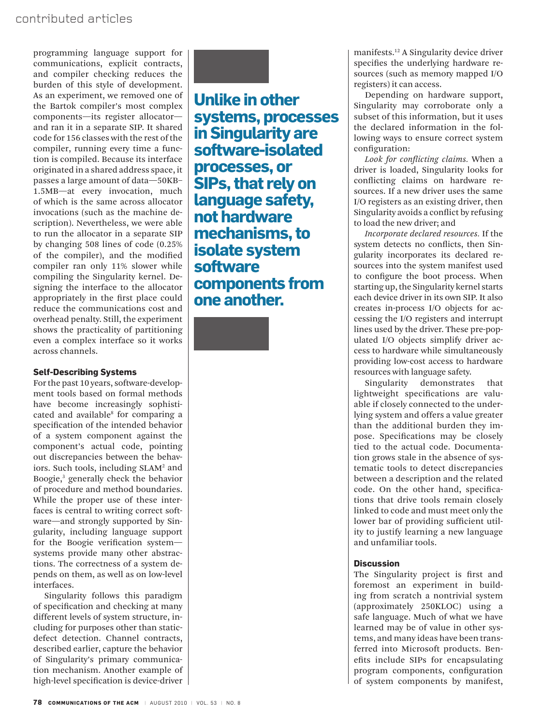programming language support for communications, explicit contracts, and compiler checking reduces the burden of this style of development. As an experiment, we removed one of the Bartok compiler's most complex components—its register allocator and ran it in a separate SIP. It shared code for 156 classes with the rest of the compiler, running every time a function is compiled. Because its interface originated in a shared address space, it passes a large amount of data—50KB– 1.5MB—at every invocation, much of which is the same across allocator invocations (such as the machine description). Nevertheless, we were able to run the allocator in a separate SIP by changing 508 lines of code (0.25% of the compiler), and the modified compiler ran only 11% slower while compiling the Singularity kernel. Designing the interface to the allocator appropriately in the first place could reduce the communications cost and overhead penalty. Still, the experiment shows the practicality of partitioning even a complex interface so it works across channels.

### **Self-Describing Systems**

For the past 10 years, software-development tools based on formal methods have become increasingly sophisticated and available<sup>8</sup> for comparing a specification of the intended behavior of a system component against the component's actual code, pointing out discrepancies between the behaviors. Such tools, including SLAM<sup>2</sup> and Boogie,<sup>3</sup> generally check the behavior of procedure and method boundaries. While the proper use of these interfaces is central to writing correct software—and strongly supported by Singularity, including language support for the Boogie verification system systems provide many other abstractions. The correctness of a system depends on them, as well as on low-level interfaces.

Singularity follows this paradigm of specification and checking at many different levels of system structure, including for purposes other than staticdefect detection. Channel contracts, described earlier, capture the behavior of Singularity's primary communication mechanism. Another example of high-level specification is device-driver **Unlike in other systems, processes in Singularity are software-isolated processes, or SIPs, that rely on language safety, not hardware mechanisms, to isolate system software components from one another.** 

manifests.12 A Singularity device driver specifies the underlying hardware resources (such as memory mapped I/O registers) it can access.

Depending on hardware support, Singularity may corroborate only a subset of this information, but it uses the declared information in the following ways to ensure correct system configuration:

*Look for conflicting claims.* When a driver is loaded, Singularity looks for conflicting claims on hardware resources. If a new driver uses the same I/O registers as an existing driver, then Singularity avoids a conflict by refusing to load the new driver; and

*Incorporate declared resources.* If the system detects no conflicts, then Singularity incorporates its declared resources into the system manifest used to configure the boot process. When starting up, the Singularity kernel starts each device driver in its own SIP. It also creates in-process I/O objects for accessing the I/O registers and interrupt lines used by the driver. These pre-populated I/O objects simplify driver access to hardware while simultaneously providing low-cost access to hardware resources with language safety.

Singularity demonstrates that lightweight specifications are valuable if closely connected to the underlying system and offers a value greater than the additional burden they impose. Specifications may be closely tied to the actual code. Documentation grows stale in the absence of systematic tools to detect discrepancies between a description and the related code. On the other hand, specifications that drive tools remain closely linked to code and must meet only the lower bar of providing sufficient utility to justify learning a new language and unfamiliar tools.

### **Discussion**

The Singularity project is first and foremost an experiment in building from scratch a nontrivial system (approximately 250KLOC) using a safe language. Much of what we have learned may be of value in other systems, and many ideas have been transferred into Microsoft products. Benefits include SIPs for encapsulating program components, configuration of system components by manifest,